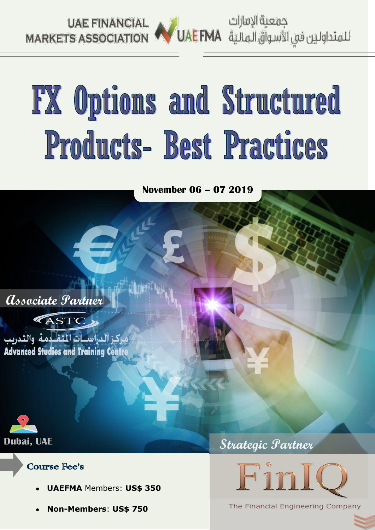

جمعية الإمارات

# FX Options and Structured Products- Best Practices

**November 06 – 07 2019**

 **Associate Partner**



بركز الدراسسات المتقبيمة والتدريب **Advanced Studies and Training Centr** 



#### Course Fee's

- **UAEFMA** Members: **US\$ 350**
- **Non-Members**: **US\$ 750**



**Strategic Partner** 

The Financial Engineering Company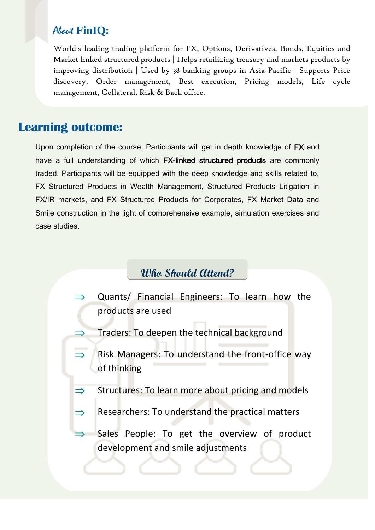## About **FinIQ:**

World's leading trading platform for FX, Options, Derivatives, Bonds, Equities and Market linked structured products | Helps retailizing treasury and markets products by improving distribution | Used by 38 banking groups in Asia Pacific | Supports Price discovery, Order management, Best execution, Pricing models, Life cycle management, Collateral, Risk & Back office.

## **Learning outcome:**

Upon completion of the course, Participants will get in depth knowledge of FX and have a full understanding of which FX-linked structured products are commonly traded. Participants will be equipped with the deep knowledge and skills related to, FX Structured Products in Wealth Management, Structured Products Litigation in FX/IR markets, and FX Structured Products for Corporates, FX Market Data and Smile construction in the light of comprehensive example, simulation exercises and case studies.

## **Who Should Attend?**

- Quants/ Financial Engineers: To learn how the products are used
- Traders: To deepen the technical background
- Risk Managers: To understand the front-office way  $\Rightarrow$ of thinking
- Structures: To learn more about pricing and models  $\Rightarrow$
- $\Rightarrow$ Researchers: To understand the practical matters
- Sales People: To get the overview of product development and smile adjustments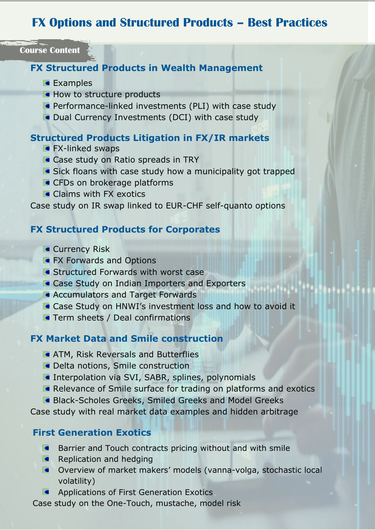## **FX Options and Structured Products – Best Practices**

**Course Content**

#### **FX Structured Products in Wealth Management**

- **Examples**
- How to structure products
- **Performance-linked investments (PLI) with case study**
- **Oual Currency Investments (DCI) with case study**

#### **Structured Products Litigation in FX/IR markets**

- **FX-linked swaps**
- **Case study on Ratio spreads in TRY**
- **Sick floans with case study how a municipality got trapped**
- **CFDs on brokerage platforms**
- **Claims with FX exotics**

#### Case study on IR swap linked to EUR-CHF self-quanto options

#### **FX Structured Products for Corporates**

- **Currency Risk**
- **FX Forwards and Options**
- **Structured Forwards with worst case**
- **Case Study on Indian Importers and Exporters**
- **Accumulators and Target Forwards**
- **Case Study on HNWI's investment loss and how to avoid it**
- **Term sheets / Deal confirmations**

#### **FX Market Data and Smile construction**

- **ATM, Risk Reversals and Butterflies**
- **ORDIA** Delta notions, Smile construction
- **Interpolation via SVI, SABR, splines, polynomials**
- Relevance of Smile surface for trading on platforms and exotics
- **Black-Scholes Greeks, Smiled Greeks and Model Greeks**

Case study with real market data examples and hidden arbitrage

#### **First Generation Exotics**

- **Barrier and Touch contracts pricing without and with smile**
- $\blacksquare$  Replication and hedging
- Overview of market makers' models (vanna-volga, stochastic local volatility)
- **Applications of First Generation Exotics**

Case study on the One-Touch, mustache, model risk